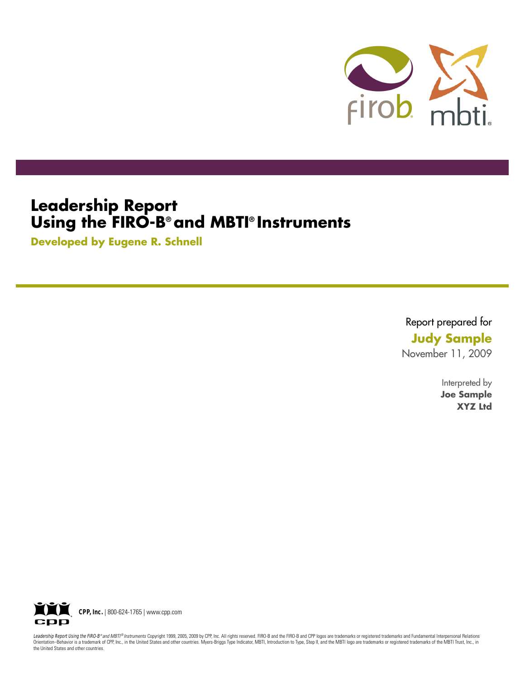

## **Leadership Report Using the FIRO-B® and MBTI® Instruments**

**Developed by Eugene R. Schnell**

Report prepared for **Judy Sample** November 11, 2009

> Interpreted by **Joe Sample XYZ Ltd**



Leadership Report Using the FIRO-B® and MBTI® Instruments Copyright 1999, 2005, 2009 by CPP, Inc. All rights reserved. FIRO-B and the FIRO-B and CPP logos are trademarks or registered trademarks and Fundamental Interperson Orientation–Behavior is a trademark of CPP, Inc., in the United States and other countries. Myers-Briggs Type Indicator, MBTI, Introduction to Type, Step II, and the MBTI logo are trademarks or registered trademarks of the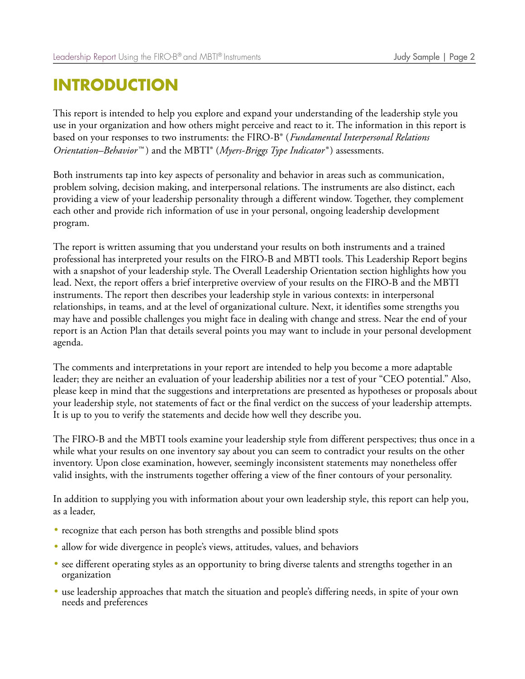## **INTRODUCTION**

This report is intended to help you explore and expand your understanding of the leadership style you use in your organization and how others might perceive and react to it. The information in this report is based on your responses to two instruments: the FIRO-B® ( *Fundamental Interpersonal Relations Orientation–Behavior™* ) and the MBTI® (*Myers-Briggs Type Indicator®* ) assessments.

Both instruments tap into key aspects of personality and behavior in areas such as communication, problem solving, decision making, and interpersonal relations. The instruments are also distinct, each providing a view of your leadership personality through a different window. Together, they complement each other and provide rich information of use in your personal, ongoing leadership development program.

The report is written assuming that you understand your results on both instruments and a trained professional has interpreted your results on the FIRO-B and MBTI tools. This Leadership Report begins with a snapshot of your leadership style. The Overall Leadership Orientation section highlights how you lead. Next, the report offers a brief interpretive overview of your results on the FIRO-B and the MBTI instruments. The report then describes your leadership style in various contexts: in interpersonal relationships, in teams, and at the level of organizational culture. Next, it identifies some strengths you may have and possible challenges you might face in dealing with change and stress. Near the end of your report is an Action Plan that details several points you may want to include in your personal development agenda.

The comments and interpretations in your report are intended to help you become a more adaptable leader; they are neither an evaluation of your leadership abilities nor a test of your "CEO potential." Also, please keep in mind that the suggestions and interpretations are presented as hypotheses or proposals about your leadership style, not statements of fact or the final verdict on the success of your leadership attempts. It is up to you to verify the statements and decide how well they describe you.

The FIRO-B and the MBTI tools examine your leadership style from different perspectives; thus once in a while what your results on one inventory say about you can seem to contradict your results on the other inventory. Upon close examination, however, seemingly inconsistent statements may nonetheless offer valid insights, with the instruments together offering a view of the finer contours of your personality.

In addition to supplying you with information about your own leadership style, this report can help you, as a leader,

- recognize that each person has both strengths and possible blind spots
- allow for wide divergence in people's views, attitudes, values, and behaviors
- see different operating styles as an opportunity to bring diverse talents and strengths together in an organization
- use leadership approaches that match the situation and people's differing needs, in spite of your own needs and preferences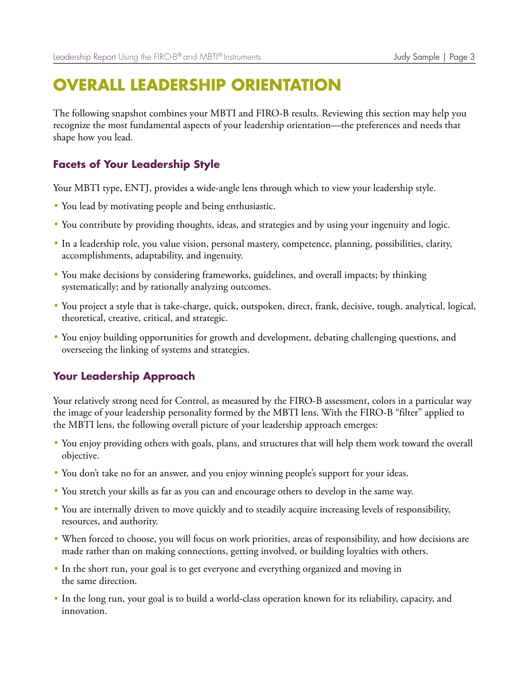## **OVERALL LEADERSHIP ORIENTATION**

The following snapshot combines your MBTI and FIRO-B results. Reviewing this section may help you recognize the most fundamental aspects of your leadership orientation—the preferences and needs that shape how you lead.

## **Facets of Your Leadership Style**

Your MBTI type, ENTJ, provides a wide-angle lens through which to view your leadership style.

- You lead by motivating people and being enthusiastic.
- You contribute by providing thoughts, ideas, and strategies and by using your ingenuity and logic.
- In a leadership role, you value vision, personal mastery, competence, planning, possibilities, clarity, accomplishments, adaptability, and ingenuity.
- You make decisions by considering frameworks, guidelines, and overall impacts; by thinking systematically; and by rationally analyzing outcomes.
- You project a style that is take-charge, quick, outspoken, direct, frank, decisive, tough, analytical, logical, theoretical, creative, critical, and strategic.
- You enjoy building opportunities for growth and development, debating challenging questions, and overseeing the linking of systems and strategies.

### **Your Leadership Approach**

Your relatively strong need for Control, as measured by the FIRO-B assessment, colors in a particular way the image of your leadership personality formed by the MBTI lens. With the FIRO-B "filter" applied to the MBTI lens, the following overall picture of your leadership approach emerges:

- You enjoy providing others with goals, plans, and structures that will help them work toward the overall objective.
- You don't take no for an answer, and you enjoy winning people's support for your ideas.
- You stretch your skills as far as you can and encourage others to develop in the same way.
- You are internally driven to move quickly and to steadily acquire increasing levels of responsibility, resources, and authority.
- When forced to choose, you will focus on work priorities, areas of responsibility, and how decisions are made rather than on making connections, getting involved, or building loyalties with others.
- In the short run, your goal is to get everyone and everything organized and moving in the same direction.
- In the long run, your goal is to build a world-class operation known for its reliability, capacity, and innovation.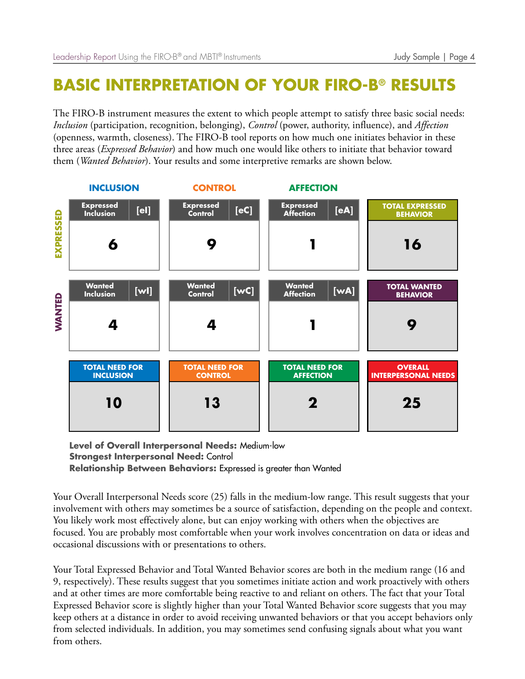# **BASIC INTERPRETATION OF YOUR FIRO-B® RESULTS**

The FIRO-B instrument measures the extent to which people attempt to satisfy three basic social needs: *Inclusion* (participation, recognition, belonging), *Control* (power, authority, influence), and *Affection* (openness, warmth, closeness). The FIRO-B tool reports on how much one initiates behavior in these three areas (*Expressed Behavior*) and how much one would like others to initiate that behavior toward them (*Wanted Behavior*). Your results and some interpretive remarks are shown below.



**Level of Overall Interpersonal Needs:** Medium-low **Strongest Interpersonal Need:** Control **Relationship Between Behaviors:** Expressed is greater than Wanted

Your Overall Interpersonal Needs score (25) falls in the medium-low range. This result suggests that your involvement with others may sometimes be a source of satisfaction, depending on the people and context. You likely work most effectively alone, but can enjoy working with others when the objectives are focused. You are probably most comfortable when your work involves concentration on data or ideas and occasional discussions with or presentations to others.

Your Total Expressed Behavior and Total Wanted Behavior scores are both in the medium range (16 and 9, respectively). These results suggest that you sometimes initiate action and work proactively with others and at other times are more comfortable being reactive to and reliant on others. The fact that your Total Expressed Behavior score is slightly higher than your Total Wanted Behavior score suggests that you may keep others at a distance in order to avoid receiving unwanted behaviors or that you accept behaviors only from selected individuals. In addition, you may sometimes send confusing signals about what you want from others.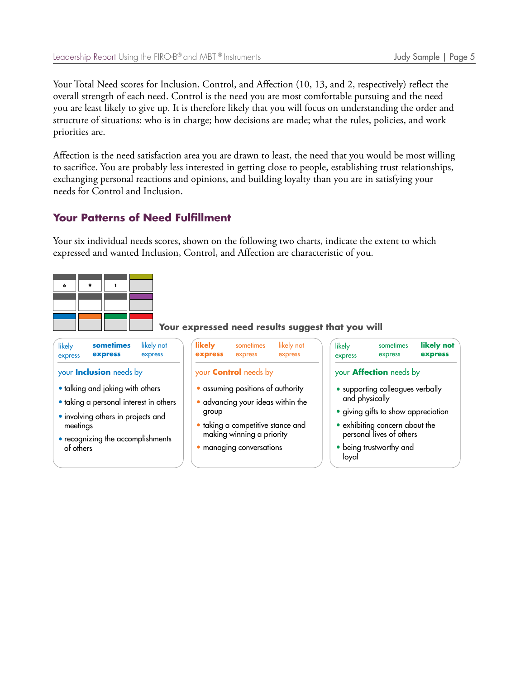Your Total Need scores for Inclusion, Control, and Affection (10, 13, and 2, respectively) reflect the overall strength of each need. Control is the need you are most comfortable pursuing and the need you are least likely to give up. It is therefore likely that you will focus on understanding the order and structure of situations: who is in charge; how decisions are made; what the rules, policies, and work priorities are.

Affection is the need satisfaction area you are drawn to least, the need that you would be most willing to sacrifice. You are probably less interested in getting close to people, establishing trust relationships, exchanging personal reactions and opinions, and building loyalty than you are in satisfying your needs for Control and Inclusion.

### **Your Patterns of Need Fulfillment**

Your six individual needs scores, shown on the following two charts, indicate the extent to which expressed and wanted Inclusion, Control, and Affection are characteristic of you.

#### **Your expressed need results suggest that you will**

| likely<br>express                                                                                                                                                              | sometimes<br>express           | likely not<br>express | likely<br>express                                                                                                                                                    | sometimes<br>express         | likely not<br>express   | likely<br>express                                                                                                                                                | sometimes<br>express           | likely not<br>express |
|--------------------------------------------------------------------------------------------------------------------------------------------------------------------------------|--------------------------------|-----------------------|----------------------------------------------------------------------------------------------------------------------------------------------------------------------|------------------------------|-------------------------|------------------------------------------------------------------------------------------------------------------------------------------------------------------|--------------------------------|-----------------------|
|                                                                                                                                                                                | your <b>Inclusion</b> needs by |                       |                                                                                                                                                                      | your <b>Control</b> needs by |                         |                                                                                                                                                                  | your <b>Affection</b> needs by |                       |
| • talking and joking with others<br>· taking a personal interest in others<br>• involving others in projects and<br>meetings<br>• recognizing the accomplishments<br>of others |                                | group                 | • assuming positions of authority<br>· advancing your ideas within the<br>· taking a competitive stance and<br>making winning a priority<br>· managing conversations |                              | and physically<br>loyal | • supporting colleagues verbally<br>· giving gifts to show appreciation<br>• exhibiting concern about the<br>personal lives of others<br>• being trustworthy and |                                |                       |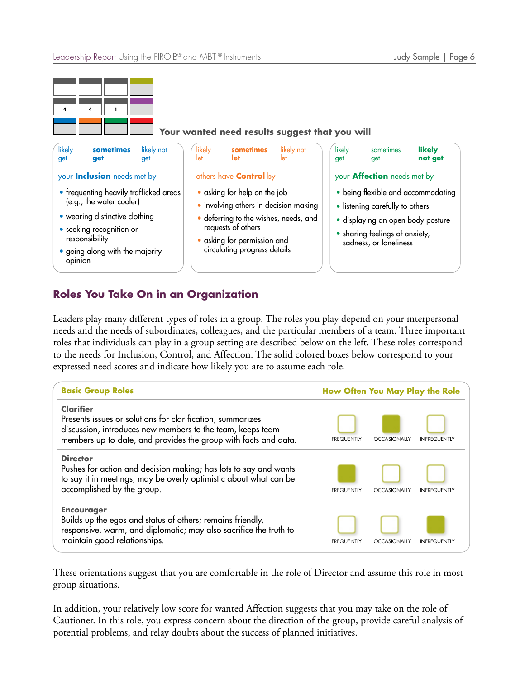

| likely<br>get                                                                                                                                                                                                                                                                                                                                                                                                                                                                          | sometimes<br>get | likely not<br>get                  | likely<br>let | sometimes<br>let                                                                                                                                                       | likely not<br>let | likely<br>get | sometimes<br>get | likely<br>not get |
|----------------------------------------------------------------------------------------------------------------------------------------------------------------------------------------------------------------------------------------------------------------------------------------------------------------------------------------------------------------------------------------------------------------------------------------------------------------------------------------|------------------|------------------------------------|---------------|------------------------------------------------------------------------------------------------------------------------------------------------------------------------|-------------------|---------------|------------------|-------------------|
| your <b>Inclusion</b> needs met by<br>others have <b>Control</b> by<br>$\bullet$ asking for help on the job<br>• frequenting heavily trafficked areas<br>(e.g., the water cooler)<br>· involving others in decision making<br>• wearing distinctive clothing<br>· deferring to the wishes, needs, and<br>requests of others<br>• seeking recognition or<br>responsibility<br>· asking for permission and<br>circulating progress details<br>• going along with the majority<br>opinion |                  | your <b>Affection</b> needs met by |               |                                                                                                                                                                        |                   |               |                  |                   |
|                                                                                                                                                                                                                                                                                                                                                                                                                                                                                        |                  |                                    |               | • being flexible and accommodating<br>• listening carefully to others<br>· displaying an open body posture<br>• sharing feelings of anxiety,<br>sadness, or loneliness |                   |               |                  |                   |

## **Roles You Take On in an Organization**

Leaders play many different types of roles in a group. The roles you play depend on your interpersonal needs and the needs of subordinates, colleagues, and the particular members of a team. Three important roles that individuals can play in a group setting are described below on the left. These roles correspond to the needs for Inclusion, Control, and Affection. The solid colored boxes below correspond to your expressed need scores and indicate how likely you are to assume each role.

| <b>Basic Group Roles</b>                                                                                                                                                                                        |                   | How Often You May Play the Role |                     |
|-----------------------------------------------------------------------------------------------------------------------------------------------------------------------------------------------------------------|-------------------|---------------------------------|---------------------|
| <b>Clarifier</b><br>Presents issues or solutions for clarification, summarizes<br>discussion, introduces new members to the team, keeps team<br>members up-to-date, and provides the group with facts and data. | <b>FREQUENTIY</b> | <b>OCCASIONALLY</b>             | <b>INFREQUENTIY</b> |
| <b>Director</b><br>Pushes for action and decision making; has lots to say and wants<br>to say it in meetings; may be overly optimistic about what can be<br>accomplished by the group.                          | <b>FREQUENTLY</b> | <b>OCCASIONALLY</b>             | <b>INFREQUENTLY</b> |
| <b>Encourager</b><br>Builds up the egos and status of others; remains friendly,<br>responsive, warm, and diplomatic; may also sacrifice the truth to<br>maintain good relationships.                            | <b>FREQUENTLY</b> | <b>OCCASIONALLY</b>             | <b>INFREQUENTLY</b> |

These orientations suggest that you are comfortable in the role of Director and assume this role in most group situations.

In addition, your relatively low score for wanted Affection suggests that you may take on the role of Cautioner. In this role, you express concern about the direction of the group, provide careful analysis of potential problems, and relay doubts about the success of planned initiatives.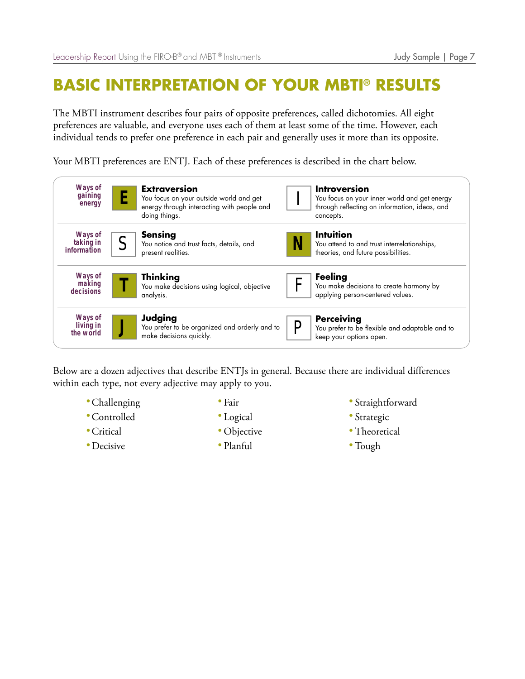# **BASIC INTERPRETATION OF YOUR MBTI® RESULTS**

The MBTI instrument describes four pairs of opposite preferences, called dichotomies. All eight preferences are valuable, and everyone uses each of them at least some of the time. However, each individual tends to prefer one preference in each pair and generally uses it more than its opposite.

Your MBTI preferences are ENTJ. Each of these preferences is described in the chart below.



Below are a dozen adjectives that describe ENTJs in general. Because there are individual differences within each type, not every adjective may apply to you.

- Challenging
- •Controlled
- •Critical
- Decisive
- Fair
- Logical
- Objective
- Planful
- Straightforward
- Strategic
- Theoretical
- Tough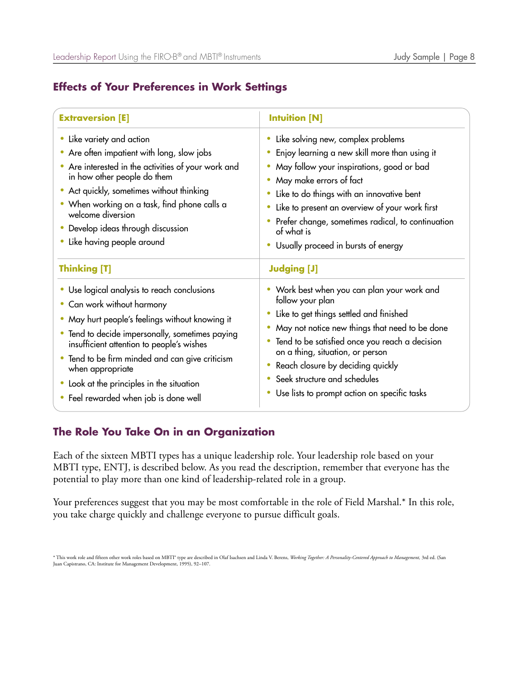### **Effects of Your Preferences in Work Settings**

| <b>Extraversion [E]</b>                                                                                                                                                                                                                                                                                                                                                                               | <b>Intuition [N]</b>                                                                                                                                                                                                                                                                                                                                                                 |
|-------------------------------------------------------------------------------------------------------------------------------------------------------------------------------------------------------------------------------------------------------------------------------------------------------------------------------------------------------------------------------------------------------|--------------------------------------------------------------------------------------------------------------------------------------------------------------------------------------------------------------------------------------------------------------------------------------------------------------------------------------------------------------------------------------|
| Like variety and action<br>Are often impatient with long, slow jobs<br>Are interested in the activities of your work and<br>in how other people do them<br>• Act quickly, sometimes without thinking<br>• When working on a task, find phone calls a<br>welcome diversion<br>Develop ideas through discussion<br>Like having people around                                                            | Like solving new, complex problems<br>Enjoy learning a new skill more than using it<br>May follow your inspirations, good or bad<br>May make errors of fact<br>Like to do things with an innovative bent<br>Like to present an overview of your work first<br>Prefer change, sometimes radical, to continuation<br>of what is<br>Usually proceed in bursts of energy                 |
| <b>Thinking [T]</b>                                                                                                                                                                                                                                                                                                                                                                                   | <b>Judging [J]</b>                                                                                                                                                                                                                                                                                                                                                                   |
| Use logical analysis to reach conclusions<br>Can work without harmony<br>May hurt people's feelings without knowing it<br>Tend to decide impersonally, sometimes paying<br>$\bullet$<br>insufficient attention to people's wishes<br>Tend to be firm minded and can give criticism<br>$\bullet$<br>when appropriate<br>Look at the principles in the situation<br>Feel rewarded when job is done well | • Work best when you can plan your work and<br>follow your plan<br>Like to get things settled and finished<br>May not notice new things that need to be done<br>Tend to be satisfied once you reach a decision<br>$\bullet$<br>on a thing, situation, or person<br>Reach closure by deciding quickly<br>Seek structure and schedules<br>Use lists to prompt action on specific tasks |

### **The Role You Take On in an Organization**

Each of the sixteen MBTI types has a unique leadership role. Your leadership role based on your MBTI type, ENTJ, is described below. As you read the description, remember that everyone has the potential to play more than one kind of leadership-related role in a group.

Your preferences suggest that you may be most comfortable in the role of Field Marshal.\* In this role, you take charge quickly and challenge everyone to pursue difficult goals.

\* This work role and fifteen other work roles based on MBT1\* type are described in Olaf Isachsen and Linda V. Berens, *Working Together: A Personality-Centered Approach to Management*, 3rd ed. (San<br>Juan Capistrano, CA: Ins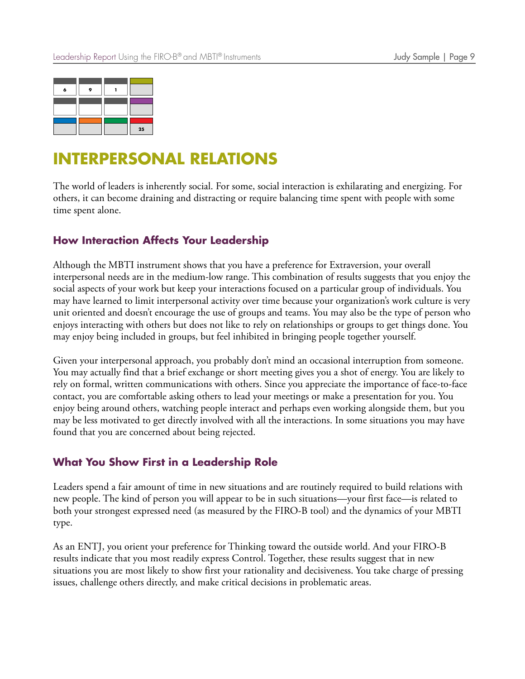

## **INTERPERSONAL RELATIONS**

The world of leaders is inherently social. For some, social interaction is exhilarating and energizing. For others, it can become draining and distracting or require balancing time spent with people with some time spent alone.

### **How Interaction Affects Your Leadership**

Although the MBTI instrument shows that you have a preference for Extraversion, your overall interpersonal needs are in the medium-low range. This combination of results suggests that you enjoy the social aspects of your work but keep your interactions focused on a particular group of individuals. You may have learned to limit interpersonal activity over time because your organization's work culture is very unit oriented and doesn't encourage the use of groups and teams. You may also be the type of person who enjoys interacting with others but does not like to rely on relationships or groups to get things done. You may enjoy being included in groups, but feel inhibited in bringing people together yourself.

Given your interpersonal approach, you probably don't mind an occasional interruption from someone. You may actually find that a brief exchange or short meeting gives you a shot of energy. You are likely to rely on formal, written communications with others. Since you appreciate the importance of face-to-face contact, you are comfortable asking others to lead your meetings or make a presentation for you. You enjoy being around others, watching people interact and perhaps even working alongside them, but you may be less motivated to get directly involved with all the interactions. In some situations you may have found that you are concerned about being rejected.

### **What You Show First in a Leadership Role**

Leaders spend a fair amount of time in new situations and are routinely required to build relations with new people. The kind of person you will appear to be in such situations—your first face—is related to both your strongest expressed need (as measured by the FIRO-B tool) and the dynamics of your MBTI type.

As an ENTJ, you orient your preference for Thinking toward the outside world. And your FIRO-B results indicate that you most readily express Control. Together, these results suggest that in new situations you are most likely to show first your rationality and decisiveness. You take charge of pressing issues, challenge others directly, and make critical decisions in problematic areas.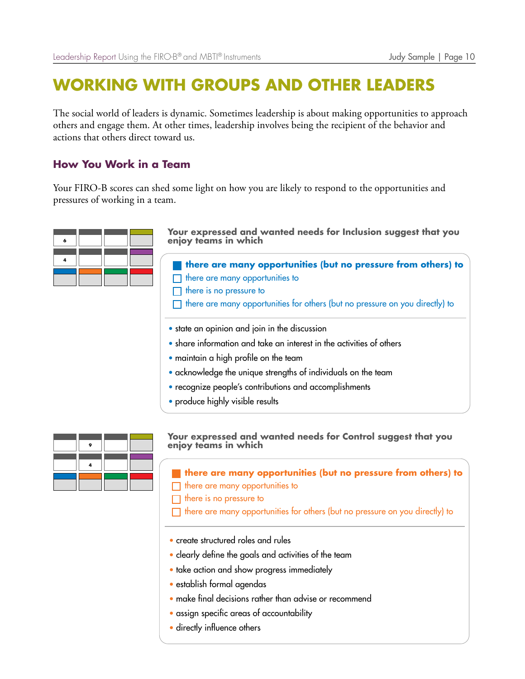## **WORKING WITH GROUPS AND OTHER LEADERS**

The social world of leaders is dynamic. Sometimes leadership is about making opportunities to approach others and engage them. At other times, leadership involves being the recipient of the behavior and actions that others direct toward us.

### **How You Work in a Team**

Your FIRO-B scores can shed some light on how you are likely to respond to the opportunities and pressures of working in a team.

| A |  |  |
|---|--|--|
|   |  |  |
|   |  |  |

**Your expressed and wanted needs for Inclusion suggest that you enjoy teams in which**

**there are many opportunities (but no pressure from others) to**  $\Box$  there are many opportunities to there is no pressure to

- $\Box$  there are many opportunities for others (but no pressure on you directly) to
- state an opinion and join in the discussion
- share information and take an interest in the activities of others
- maintain a high profile on the team
- acknowledge the unique strengths of individuals on the team
- recognize people's contributions and accomplishments
- produce highly visible results

**Your expressed and wanted needs for Control suggest that you enjoy teams in which**

**there are many opportunities (but no pressure from others) to**

- $\Box$  there are many opportunities to
- $\Box$  there is no pressure to

 $\Box$  there are many opportunities for others (but no pressure on you directly) to

- create structured roles and rules
- clearly define the goals and activities of the team
- take action and show progress immediately
- establish formal agendas
- make final decisions rather than advise or recommend
- assign specific areas of accountability
- directly influence others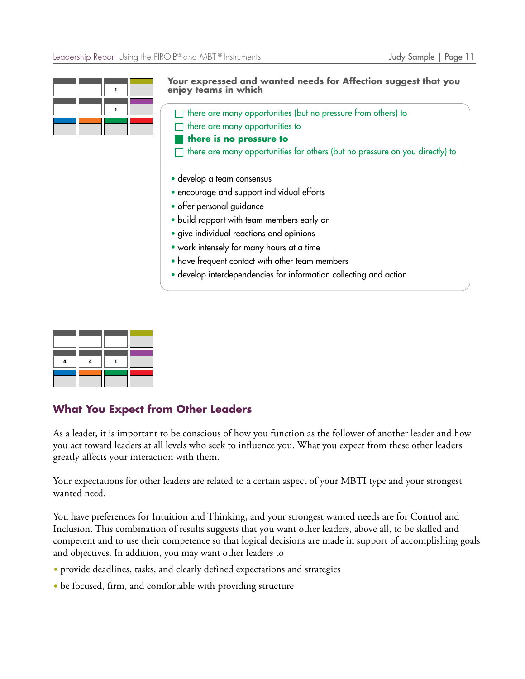

**Your expressed and wanted needs for Affection suggest that you enjoy teams in which**

 $\Box$  there are many opportunities (but no pressure from others) to

there are many opportunities to

**there is no pressure to**

there are many opportunities for others (but no pressure on you directly) to

- develop a team consensus
- encourage and support individual efforts
- offer personal guidance
- build rapport with team members early on
- give individual reactions and opinions
- work intensely for many hours at a time
- have frequent contact with other team members
- develop interdependencies for information collecting and action

### **What You Expect from Other Leaders**

As a leader, it is important to be conscious of how you function as the follower of another leader and how you act toward leaders at all levels who seek to influence you. What you expect from these other leaders greatly affects your interaction with them.

Your expectations for other leaders are related to a certain aspect of your MBTI type and your strongest wanted need.

You have preferences for Intuition and Thinking, and your strongest wanted needs are for Control and Inclusion. This combination of results suggests that you want other leaders, above all, to be skilled and competent and to use their competence so that logical decisions are made in support of accomplishing goals and objectives. In addition, you may want other leaders to

- provide deadlines, tasks, and clearly defined expectations and strategies
- be focused, firm, and comfortable with providing structure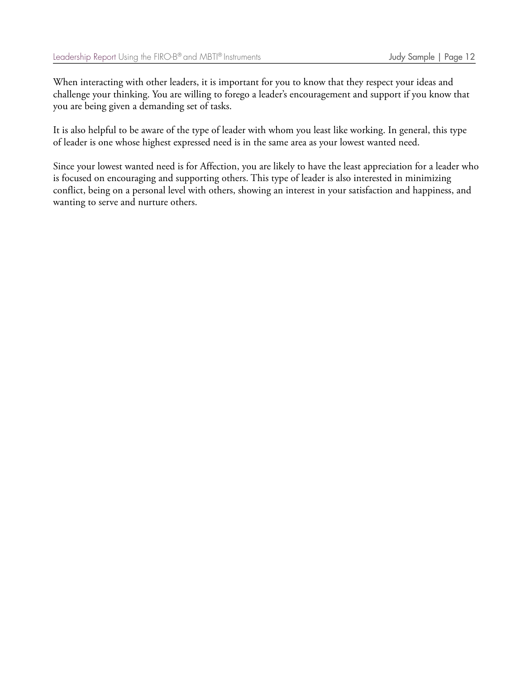When interacting with other leaders, it is important for you to know that they respect your ideas and challenge your thinking. You are willing to forego a leader's encouragement and support if you know that you are being given a demanding set of tasks.

It is also helpful to be aware of the type of leader with whom you least like working. In general, this type of leader is one whose highest expressed need is in the same area as your lowest wanted need.

Since your lowest wanted need is for Affection, you are likely to have the least appreciation for a leader who is focused on encouraging and supporting others. This type of leader is also interested in minimizing conflict, being on a personal level with others, showing an interest in your satisfaction and happiness, and wanting to serve and nurture others.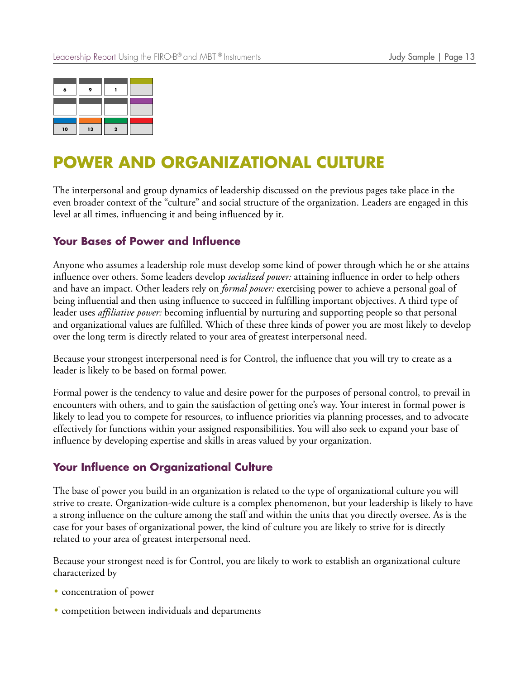| A  |    |  |
|----|----|--|
|    |    |  |
|    |    |  |
| 10 | 13 |  |

## **POWER AND ORGANIZATIONAL CULTURE**

The interpersonal and group dynamics of leadership discussed on the previous pages take place in the even broader context of the "culture" and social structure of the organization. Leaders are engaged in this level at all times, influencing it and being influenced by it.

### **Your Bases of Power and Influence**

Anyone who assumes a leadership role must develop some kind of power through which he or she attains influence over others. Some leaders develop *socialized power:* attaining influence in order to help others and have an impact. Other leaders rely on *formal power:* exercising power to achieve a personal goal of being influential and then using influence to succeed in fulfilling important objectives. A third type of leader uses *affiliative power:* becoming influential by nurturing and supporting people so that personal and organizational values are fulfilled. Which of these three kinds of power you are most likely to develop over the long term is directly related to your area of greatest interpersonal need.

Because your strongest interpersonal need is for Control, the influence that you will try to create as a leader is likely to be based on formal power.

Formal power is the tendency to value and desire power for the purposes of personal control, to prevail in encounters with others, and to gain the satisfaction of getting one's way. Your interest in formal power is likely to lead you to compete for resources, to influence priorities via planning processes, and to advocate effectively for functions within your assigned responsibilities. You will also seek to expand your base of influence by developing expertise and skills in areas valued by your organization.

#### **Your Influence on Organizational Culture**

The base of power you build in an organization is related to the type of organizational culture you will strive to create. Organization-wide culture is a complex phenomenon, but your leadership is likely to have a strong influence on the culture among the staff and within the units that you directly oversee. As is the case for your bases of organizational power, the kind of culture you are likely to strive for is directly related to your area of greatest interpersonal need.

Because your strongest need is for Control, you are likely to work to establish an organizational culture characterized by

- concentration of power
- competition between individuals and departments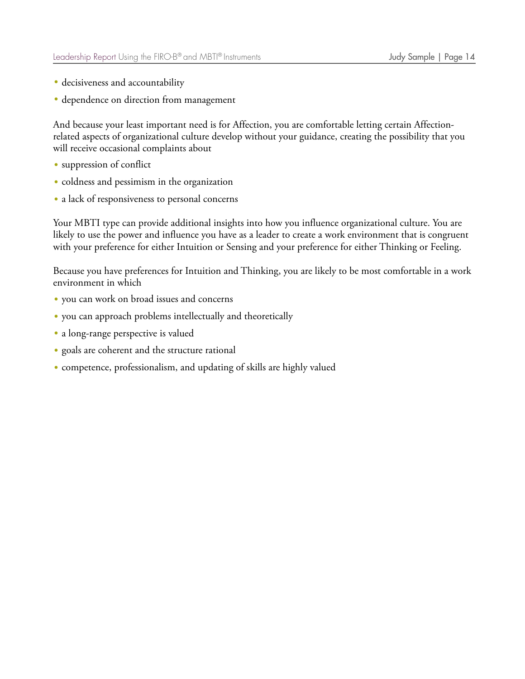- decisiveness and accountability
- dependence on direction from management

And because your least important need is for Affection, you are comfortable letting certain Affectionrelated aspects of organizational culture develop without your guidance, creating the possibility that you will receive occasional complaints about

- suppression of conflict
- coldness and pessimism in the organization
- a lack of responsiveness to personal concerns

Your MBTI type can provide additional insights into how you influence organizational culture. You are likely to use the power and influence you have as a leader to create a work environment that is congruent with your preference for either Intuition or Sensing and your preference for either Thinking or Feeling.

Because you have preferences for Intuition and Thinking, you are likely to be most comfortable in a work environment in which

- you can work on broad issues and concerns
- you can approach problems intellectually and theoretically
- a long-range perspective is valued
- goals are coherent and the structure rational
- competence, professionalism, and updating of skills are highly valued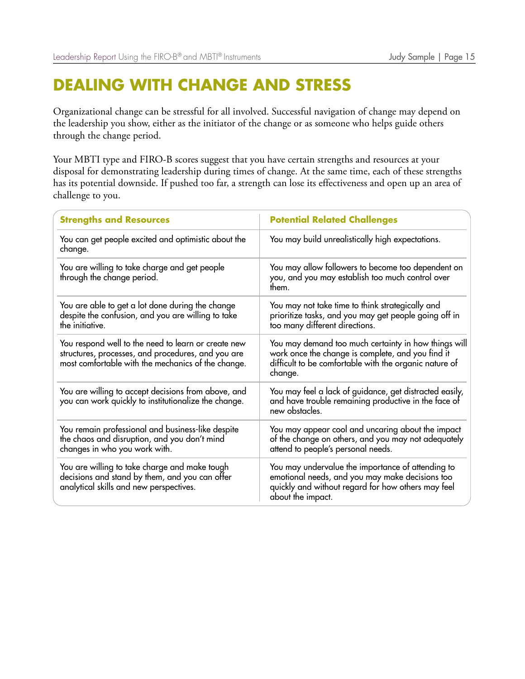## **DEALING WITH CHANGE AND STRESS**

Organizational change can be stressful for all involved. Successful navigation of change may depend on the leadership you show, either as the initiator of the change or as someone who helps guide others through the change period.

Your MBTI type and FIRO-B scores suggest that you have certain strengths and resources at your disposal for demonstrating leadership during times of change. At the same time, each of these strengths has its potential downside. If pushed too far, a strength can lose its effectiveness and open up an area of challenge to you.

| <b>Strengths and Resources</b>                                                                                                                                  | <b>Potential Related Challenges</b>                                                                                                                                             |
|-----------------------------------------------------------------------------------------------------------------------------------------------------------------|---------------------------------------------------------------------------------------------------------------------------------------------------------------------------------|
| You can get people excited and optimistic about the<br>change.                                                                                                  | You may build unrealistically high expectations.                                                                                                                                |
| You are willing to take charge and get people<br>through the change period.                                                                                     | You may allow followers to become too dependent on<br>you, and you may establish too much control over<br>them.                                                                 |
| You are able to get a lot done during the change<br>despite the confusion, and you are willing to take<br>the initiative.                                       | You may not take time to think strategically and<br>prioritize tasks, and you may get people going off in<br>too many different directions.                                     |
| You respond well to the need to learn or create new<br>structures, processes, and procedures, and you are<br>most comfortable with the mechanics of the change. | You may demand too much certainty in how things will<br>work once the change is complete, and you find it<br>difficult to be comfortable with the organic nature of<br>change.  |
| You are willing to accept decisions from above, and<br>you can work quickly to institutionalize the change.                                                     | You may feel a lack of guidance, get distracted easily,<br>and have trouble remaining productive in the face of<br>new obstacles.                                               |
| You remain professional and business-like despite<br>the chaos and disruption, and you don't mind<br>changes in who you work with.                              | You may appear cool and uncaring about the impact<br>of the change on others, and you may not adequately<br>attend to people's personal needs.                                  |
| You are willing to take charge and make tough<br>decisions and stand by them, and you can offer<br>analytical skills and new perspectives.                      | You may undervalue the importance of attending to<br>emotional needs, and you may make decisions too<br>quickly and without regard for how others may feel<br>about the impact. |